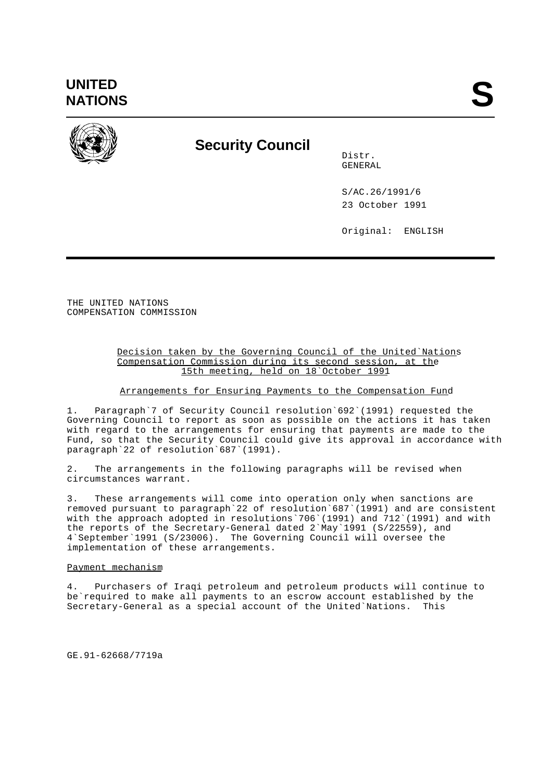

# **Security Council**

Distr. GENERAL

S/AC.26/1991/6 23 October 1991

Original: ENGLISH

THE UNITED NATIONS COMPENSATION COMMISSION

### Decision taken by the Governing Council of the United`Nations Compensation Commission during its second session, at the 15th meeting, held on 18`October 1991

## Arrangements for Ensuring Payments to the Compensation Fund

1. Paragraph`7 of Security Council resolution`692`(1991) requested the Governing Council to report as soon as possible on the actions it has taken with regard to the arrangements for ensuring that payments are made to the Fund, so that the Security Council could give its approval in accordance with paragraph`22 of resolution`687`(1991).

2. The arrangements in the following paragraphs will be revised when circumstances warrant.

3. These arrangements will come into operation only when sanctions are removed pursuant to paragraph`22 of resolution`687`(1991) and are consistent with the approach adopted in resolutions`706`(1991) and 712`(1991) and with the reports of the Secretary-General dated 2`May`1991 (S/22559), and 4`September`1991 (S/23006). The Governing Council will oversee the implementation of these arrangements.

## Payment mechanism

4. Purchasers of Iraqi petroleum and petroleum products will continue to be`required to make all payments to an escrow account established by the Secretary-General as a special account of the United`Nations. This

GE.91-62668/7719a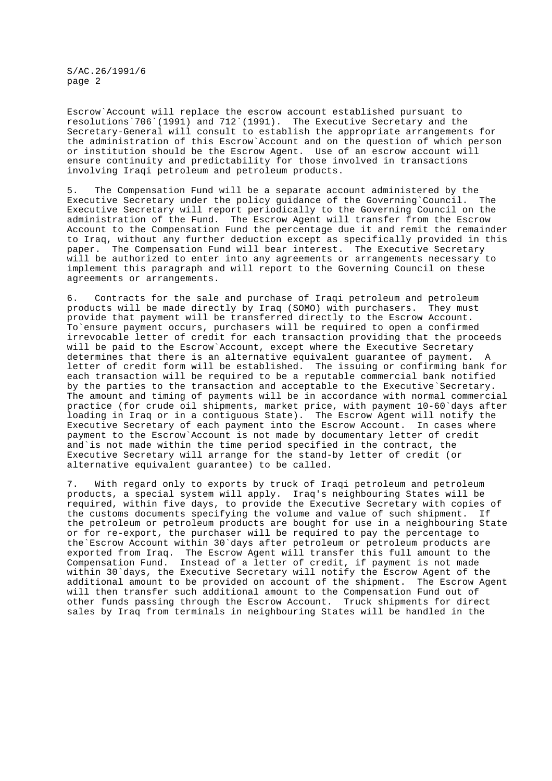S/AC.26/1991/6 page 2

Escrow`Account will replace the escrow account established pursuant to resolutions`706`(1991) and 712`(1991). The Executive Secretary and the Secretary-General will consult to establish the appropriate arrangements for the administration of this Escrow`Account and on the question of which person or institution should be the Escrow Agent. Use of an escrow account will ensure continuity and predictability for those involved in transactions involving Iraqi petroleum and petroleum products.

5. The Compensation Fund will be a separate account administered by the Executive Secretary under the policy guidance of the Governing`Council. The Executive Secretary will report periodically to the Governing Council on the administration of the Fund. The Escrow Agent will transfer from the Escrow Account to the Compensation Fund the percentage due it and remit the remainder to Iraq, without any further deduction except as specifically provided in this paper. The Compensation Fund will bear interest. The Executive Secretary will be authorized to enter into any agreements or arrangements necessary to implement this paragraph and will report to the Governing Council on these agreements or arrangements.

6. Contracts for the sale and purchase of Iraqi petroleum and petroleum products will be made directly by Iraq (SOMO) with purchasers. They must provide that payment will be transferred directly to the Escrow Account. To`ensure payment occurs, purchasers will be required to open a confirmed irrevocable letter of credit for each transaction providing that the proceeds will be paid to the Escrow`Account, except where the Executive Secretary determines that there is an alternative equivalent quarantee of payment. letter of credit form will be established. The issuing or confirming bank for each transaction will be required to be a reputable commercial bank notified by the parties to the transaction and acceptable to the Executive`Secretary. The amount and timing of payments will be in accordance with normal commercial practice (for crude oil shipments, market price, with payment 10-60`days after loading in Iraq or in a contiguous State). The Escrow Agent will notify the Executive Secretary of each payment into the Escrow Account. In cases where payment to the Escrow`Account is not made by documentary letter of credit and`is not made within the time period specified in the contract, the Executive Secretary will arrange for the stand-by letter of credit (or alternative equivalent guarantee) to be called.

7. With regard only to exports by truck of Iraqi petroleum and petroleum products, a special system will apply. Iraq's neighbouring States will be required, within five days, to provide the Executive Secretary with copies of the customs documents specifying the volume and value of such shipment. If the petroleum or petroleum products are bought for use in a neighbouring State or for re-export, the purchaser will be required to pay the percentage to the`Escrow Account within 30`days after petroleum or petroleum products are exported from Iraq. The Escrow Agent will transfer this full amount to the Compensation Fund. Instead of a letter of credit, if payment is not made within 30`days, the Executive Secretary will notify the Escrow Agent of the additional amount to be provided on account of the shipment. The Escrow Agent will then transfer such additional amount to the Compensation Fund out of other funds passing through the Escrow Account. Truck shipments for direct sales by Iraq from terminals in neighbouring States will be handled in the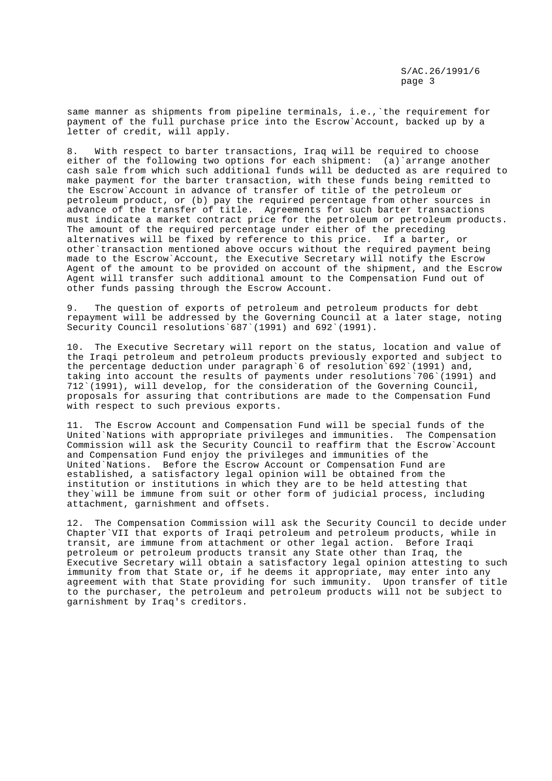same manner as shipments from pipeline terminals, i.e.,`the requirement for payment of the full purchase price into the Escrow`Account, backed up by a letter of credit, will apply.

8. With respect to barter transactions, Iraq will be required to choose either of the following two options for each shipment: (a)`arrange another cash sale from which such additional funds will be deducted as are required to make payment for the barter transaction, with these funds being remitted to the Escrow`Account in advance of transfer of title of the petroleum or petroleum product, or (b) pay the required percentage from other sources in advance of the transfer of title. Agreements for such barter transactions must indicate a market contract price for the petroleum or petroleum products. The amount of the required percentage under either of the preceding alternatives will be fixed by reference to this price. If a barter, or other`transaction mentioned above occurs without the required payment being made to the Escrow`Account, the Executive Secretary will notify the Escrow Agent of the amount to be provided on account of the shipment, and the Escrow Agent will transfer such additional amount to the Compensation Fund out of other funds passing through the Escrow Account.

9. The question of exports of petroleum and petroleum products for debt repayment will be addressed by the Governing Council at a later stage, noting Security Council resolutions`687`(1991) and 692`(1991).

10. The Executive Secretary will report on the status, location and value of the Iraqi petroleum and petroleum products previously exported and subject to the percentage deduction under paragraph`6 of resolution`692`(1991) and, taking into account the results of payments under resolutions`706`(1991) and 712`(1991), will develop, for the consideration of the Governing Council, proposals for assuring that contributions are made to the Compensation Fund with respect to such previous exports.

11. The Escrow Account and Compensation Fund will be special funds of the United`Nations with appropriate privileges and immunities. The Compensation Commission will ask the Security Council to reaffirm that the Escrow`Account and Compensation Fund enjoy the privileges and immunities of the United`Nations. Before the Escrow Account or Compensation Fund are established, a satisfactory legal opinion will be obtained from the institution or institutions in which they are to be held attesting that they`will be immune from suit or other form of judicial process, including attachment, garnishment and offsets.

12. The Compensation Commission will ask the Security Council to decide under Chapter`VII that exports of Iraqi petroleum and petroleum products, while in transit, are immune from attachment or other legal action. Before Iraqi petroleum or petroleum products transit any State other than Iraq, the Executive Secretary will obtain a satisfactory legal opinion attesting to such immunity from that State or, if he deems it appropriate, may enter into any agreement with that State providing for such immunity. Upon transfer of title to the purchaser, the petroleum and petroleum products will not be subject to garnishment by Iraq's creditors.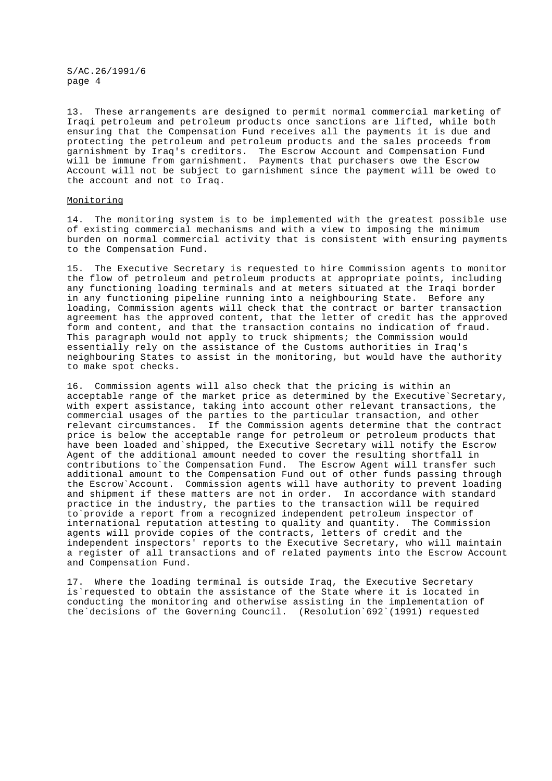S/AC.26/1991/6 page 4

13. These arrangements are designed to permit normal commercial marketing of Iraqi petroleum and petroleum products once sanctions are lifted, while both ensuring that the Compensation Fund receives all the payments it is due and protecting the petroleum and petroleum products and the sales proceeds from garnishment by Iraq's creditors. The Escrow Account and Compensation Fund will be immune from garnishment. Payments that purchasers owe the Escrow Account will not be subject to garnishment since the payment will be owed to the account and not to Iraq.

#### Monitoring

14. The monitoring system is to be implemented with the greatest possible use of existing commercial mechanisms and with a view to imposing the minimum burden on normal commercial activity that is consistent with ensuring payments to the Compensation Fund.

15. The Executive Secretary is requested to hire Commission agents to monitor the flow of petroleum and petroleum products at appropriate points, including any functioning loading terminals and at meters situated at the Iraqi border in any functioning pipeline running into a neighbouring State. Before any loading, Commission agents will check that the contract or barter transaction agreement has the approved content, that the letter of credit has the approved form and content, and that the transaction contains no indication of fraud. This paragraph would not apply to truck shipments; the Commission would essentially rely on the assistance of the Customs authorities in Iraq's neighbouring States to assist in the monitoring, but would have the authority to make spot checks.

16. Commission agents will also check that the pricing is within an acceptable range of the market price as determined by the Executive`Secretary, with expert assistance, taking into account other relevant transactions, the commercial usages of the parties to the particular transaction, and other relevant circumstances. If the Commission agents determine that the contract price is below the acceptable range for petroleum or petroleum products that have been loaded and`shipped, the Executive Secretary will notify the Escrow Agent of the additional amount needed to cover the resulting shortfall in contributions to`the Compensation Fund. The Escrow Agent will transfer such additional amount to the Compensation Fund out of other funds passing through the Escrow`Account. Commission agents will have authority to prevent loading and shipment if these matters are not in order. In accordance with standard practice in the industry, the parties to the transaction will be required to`provide a report from a recognized independent petroleum inspector of international reputation attesting to quality and quantity. The Commission agents will provide copies of the contracts, letters of credit and the independent inspectors' reports to the Executive Secretary, who will maintain a register of all transactions and of related payments into the Escrow Account and Compensation Fund.

17. Where the loading terminal is outside Iraq, the Executive Secretary is`requested to obtain the assistance of the State where it is located in conducting the monitoring and otherwise assisting in the implementation of the`decisions of the Governing Council. (Resolution`692`(1991) requested